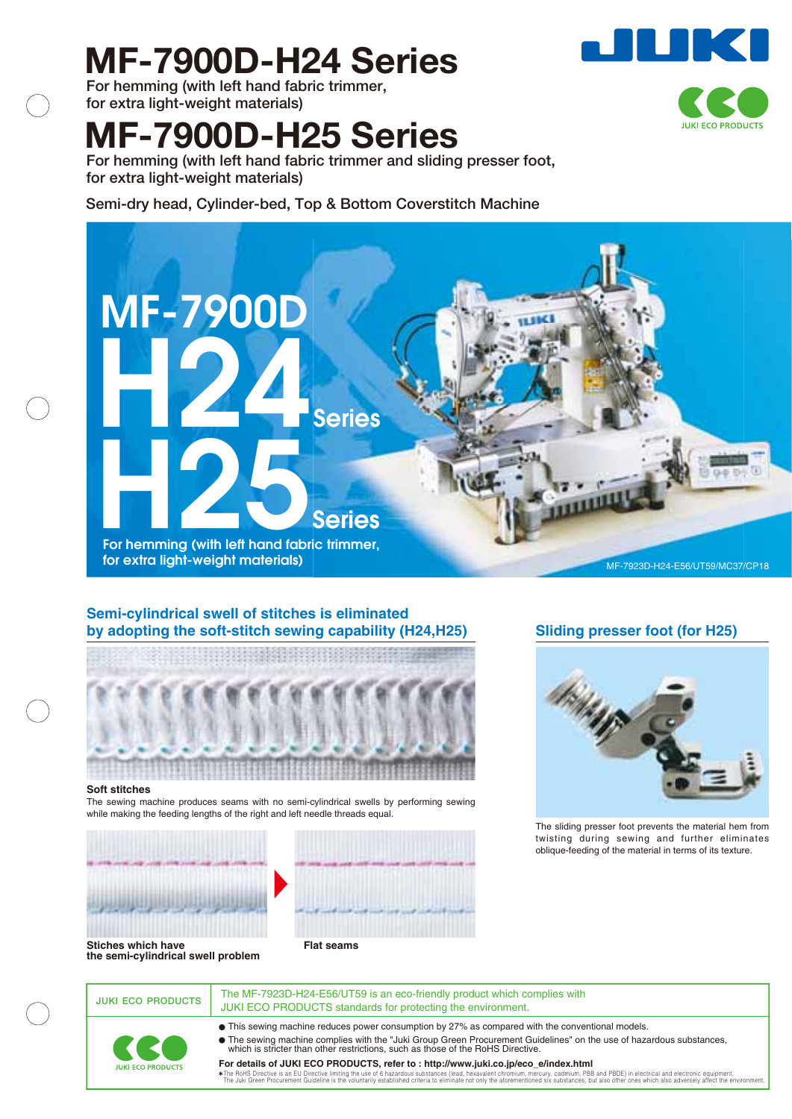# **MF-7900D-H24 Series**

**For hemming (with left hand fabric trimmer, for extra light-weight materials)**

## **MF-7900D-H25 Series**

**For hemming (with left hand fabric trimmer and sliding presser foot, for extra light-weight materials)**

**Semi-dry head, Cylinder-bed, Top & Bottom Coverstitch Machine**



## **Semi-cylindrical swell of stitches is eliminated by adopting the soft-stitch sewing capability (H24,H25)**



## **Sliding presser foot (for H25)**



The sliding presser foot prevents the material hem from twisting during sewing and further eliminates oblique-feeding of the material in terms of its texture.



The sewing machine produces seams with no semi-cylindrical swells by performing sewing while making the feeding lengths of the right and left needle threads equal.



**Flat seams**

**JUKI ECO PRODUCTS** The MF-7923D-H24-E56/UT59 is an eco-friendly product which complies with JUKI ECO PRODUCTS standards for protecting the environment.

This sewing machine reduces power consumption by 27% as compared with the conventional models.



The sewing machine complies with the "Juki Group Green Procurement Guidelines" on the use of hazardous substances, which is stricter than other restrictions, such as those of the RoHS Directive.

**For details of JUKI ECO PRODUCTS, refer to : http://www.juki.co.jp/eco\_e/index.html**

The RoHS Directive is an EU Directive limiting the use of 6 hazardous substances (lead, hexavalent chronium, mercury, cadmium, PBB and PBDE) in electrical and electronic equipment.<br>The Juki Green Procurement Guideline is t



**JUKI ECO PRODUCTS**